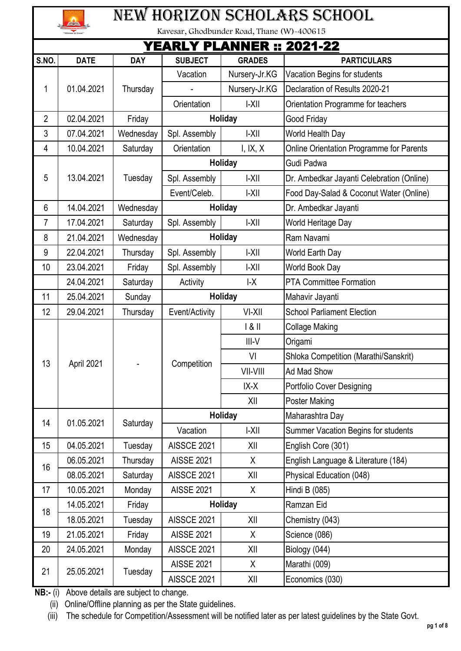| n to Excel" |
|-------------|

## New horizon scholars school

Kavesar, Ghodbunder Road, Thane (W)-400615

|                 | YEARLY PLANNER :: 2021-22 |                       |                    |                        |                                           |          |         |                                     |  |
|-----------------|---------------------------|-----------------------|--------------------|------------------------|-------------------------------------------|----------|---------|-------------------------------------|--|
| S.NO.           | <b>DATE</b>               | <b>DAY</b>            | <b>SUBJECT</b>     | <b>GRADES</b>          | <b>PARTICULARS</b>                        |          |         |                                     |  |
|                 |                           |                       | Vacation           | Nursery-Jr.KG          | Vacation Begins for students              |          |         |                                     |  |
| 1               | 01.04.2021                | Thursday              |                    | Nursery-Jr.KG          | Declaration of Results 2020-21            |          |         |                                     |  |
|                 |                           |                       | Orientation        | $ -X  $                | Orientation Programme for teachers        |          |         |                                     |  |
| $\overline{2}$  | 02.04.2021                | Friday                |                    | <b>Holiday</b>         | Good Friday                               |          |         |                                     |  |
| 3               | 07.04.2021                | Wednesday             | Spl. Assembly      | $ -X  $                | World Health Day                          |          |         |                                     |  |
| 4               | 10.04.2021                | Saturday              | Orientation        | I, IX, X               | Online Orientation Programme for Parents  |          |         |                                     |  |
|                 |                           |                       |                    | Holiday                | Gudi Padwa                                |          |         |                                     |  |
| 5               | 13.04.2021                | Tuesday               | Spl. Assembly      | $ -X  $                | Dr. Ambedkar Jayanti Celebration (Online) |          |         |                                     |  |
|                 |                           |                       | Event/Celeb.       | $ -X  $                | Food Day-Salad & Coconut Water (Online)   |          |         |                                     |  |
| $6\phantom{1}6$ | 14.04.2021                | Wednesday             |                    | <b>Holiday</b>         | Dr. Ambedkar Jayanti                      |          |         |                                     |  |
| 7               | 17.04.2021                | Saturday              | Spl. Assembly      | $ -X  $                | World Heritage Day                        |          |         |                                     |  |
| 8               | 21.04.2021                | Wednesday             |                    | <b>Holiday</b>         | Ram Navami                                |          |         |                                     |  |
| 9               | 22.04.2021                | Thursday              | Spl. Assembly      | $ -X  $                | World Earth Day                           |          |         |                                     |  |
| 10              | 23.04.2021                | Friday                | Spl. Assembly      | $ -X  $                | World Book Day                            |          |         |                                     |  |
|                 | 24.04.2021                | Saturday              | Activity           | $\mathsf{L}\mathsf{X}$ | PTA Committee Formation                   |          |         |                                     |  |
| 11              | 25.04.2021                | Sunday                |                    | <b>Holiday</b>         | Mahavir Jayanti                           |          |         |                                     |  |
| 12              | 29.04.2021                | Thursday              | Event/Activity     | VI-XII                 | <b>School Parliament Election</b>         |          |         |                                     |  |
|                 | April 2021                |                       | Competition        | 181                    | <b>Collage Making</b>                     |          |         |                                     |  |
|                 |                           |                       |                    | $III-V$                | Origami                                   |          |         |                                     |  |
|                 |                           |                       |                    | VI                     | Shloka Competition (Marathi/Sanskrit)     |          |         |                                     |  |
| 13              |                           |                       |                    | VII-VIII               | Ad Mad Show                               |          |         |                                     |  |
|                 |                           |                       |                    | $IX-X$                 | Portfolio Cover Designing                 |          |         |                                     |  |
|                 |                           |                       |                    | XII                    | Poster Making                             |          |         |                                     |  |
|                 |                           |                       |                    | Holiday                | Maharashtra Day                           |          |         |                                     |  |
| 14              | 01.05.2021                |                       |                    |                        | Saturday                                  | Vacation | $ -X  $ | Summer Vacation Begins for students |  |
| 15              | 04.05.2021                | Tuesday               | AISSCE 2021        | XII                    | English Core (301)                        |          |         |                                     |  |
| 16              | 06.05.2021                | Thursday              | <b>AISSE 2021</b>  | X                      | English Language & Literature (184)       |          |         |                                     |  |
|                 | 08.05.2021                | Saturday              | AISSCE 2021        | XII                    | Physical Education (048)                  |          |         |                                     |  |
| 17              | 10.05.2021                | Monday                | <b>AISSE 2021</b>  | X                      | Hindi B (085)                             |          |         |                                     |  |
| 18              | 14.05.2021                | Friday                |                    | Holiday                | Ramzan Eid                                |          |         |                                     |  |
|                 | 18.05.2021                | Tuesday               | AISSCE 2021        | XII                    | Chemistry (043)                           |          |         |                                     |  |
| 19              | 21.05.2021                | Friday                | <b>AISSE 2021</b>  | X                      | Science (086)                             |          |         |                                     |  |
| 20              | 24.05.2021                | Monday                | AISSCE 2021        | XII                    | Biology (044)                             |          |         |                                     |  |
|                 |                           |                       | <b>AISSE 2021</b>  | X                      | Marathi (009)                             |          |         |                                     |  |
| 21              |                           | 25.05.2021<br>Tuesday | <b>AISSCE 2021</b> | XII                    | Economics (030)                           |          |         |                                     |  |

**NB:-** (i) Above details are subject to change.

(ii) Online/Offline planning as per the State guidelines.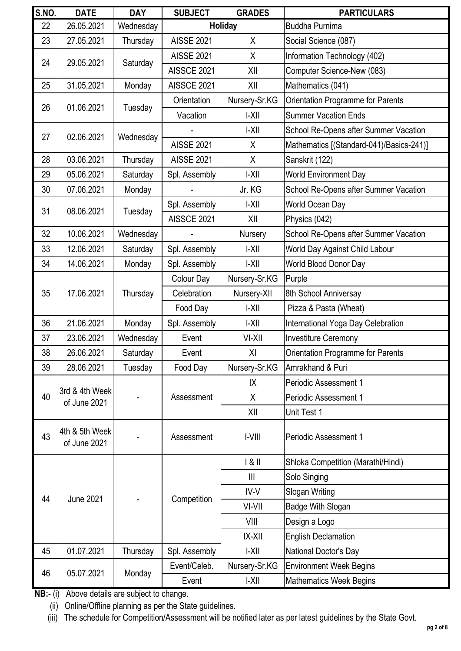| <b>S.NO.</b> | <b>DATE</b>                    | <b>DAY</b>           | <b>SUBJECT</b>    | <b>GRADES</b>  | <b>PARTICULARS</b>                       |                            |
|--------------|--------------------------------|----------------------|-------------------|----------------|------------------------------------------|----------------------------|
| 22           | 26.05.2021                     | Wednesday            |                   | <b>Holiday</b> | <b>Buddha Purnima</b>                    |                            |
| 23           | 27.05.2021                     | Thursday             | <b>AISSE 2021</b> | X              | Social Science (087)                     |                            |
| 24           | 29.05.2021                     | Saturday             | <b>AISSE 2021</b> | X              | Information Technology (402)             |                            |
|              |                                |                      | AISSCE 2021       | XII            | Computer Science-New (083)               |                            |
| 25           | 31.05.2021                     | Monday               | AISSCE 2021       | XII            | Mathematics (041)                        |                            |
| 26           | 01.06.2021                     | Tuesday              | Orientation       | Nursery-Sr.KG  | <b>Orientation Programme for Parents</b> |                            |
|              |                                |                      | Vacation          | $ -X  $        | <b>Summer Vacation Ends</b>              |                            |
| 27           | 02.06.2021                     | Wednesday            |                   | $ -X  $        | School Re-Opens after Summer Vacation    |                            |
|              |                                |                      | <b>AISSE 2021</b> | X              | Mathematics [(Standard-041)/Basics-241)] |                            |
| 28           | 03.06.2021                     | Thursday             | <b>AISSE 2021</b> | X              | Sanskrit (122)                           |                            |
| 29           | 05.06.2021                     | Saturday             | Spl. Assembly     | $ -X  $        | <b>World Environment Day</b>             |                            |
| 30           | 07.06.2021                     | Monday               |                   | Jr. KG         | School Re-Opens after Summer Vacation    |                            |
| 31           | 08.06.2021                     |                      | Spl. Assembly     | $ -X  $        | World Ocean Day                          |                            |
|              |                                | Tuesday              | AISSCE 2021       | XII            | Physics (042)                            |                            |
| 32           | 10.06.2021                     | Wednesday            |                   | Nursery        | School Re-Opens after Summer Vacation    |                            |
| 33           | 12.06.2021                     | Saturday             | Spl. Assembly     | $ -X  $        | World Day Against Child Labour           |                            |
| 34           | 14.06.2021                     | Monday               | Spl. Assembly     | $ -X  $        | <b>World Blood Donor Day</b>             |                            |
|              | 17.06.2021                     | Thursday             | Colour Day        | Nursery-Sr.KG  | Purple                                   |                            |
| 35           |                                |                      | Celebration       | Nursery-XII    | 8th School Anniversay                    |                            |
|              |                                |                      | Food Day          | $ -X  $        | Pizza & Pasta (Wheat)                    |                            |
| 36           | 21.06.2021                     | Monday               | Spl. Assembly     | $ -X  $        | International Yoga Day Celebration       |                            |
| 37           | 23.06.2021                     | Wednesday            | Event             | VI-XII         | <b>Investiture Ceremony</b>              |                            |
| 38           | 26.06.2021                     | Saturday             | Event             | XI             | Orientation Programme for Parents        |                            |
| 39           | 28.06.2021                     | Tuesday              | Food Day          | Nursery-Sr.KG  | Amrakhand & Puri                         |                            |
|              |                                |                      |                   | IΧ             | Periodic Assessment 1                    |                            |
| 40           | 3rd & 4th Week<br>of June 2021 |                      | Assessment        | X              | Periodic Assessment 1                    |                            |
|              |                                |                      |                   | XII            | Unit Test 1                              |                            |
| 43           | 4th & 5th Week<br>of June 2021 |                      | Assessment        | $ -V   $       | <b>Periodic Assessment 1</b>             |                            |
|              |                                |                      |                   | 181            | Shloka Competition (Marathi/Hindi)       |                            |
|              |                                |                      |                   | $\mathbb{H}$   | Solo Singing                             |                            |
| 44           | <b>June 2021</b>               |                      |                   | IV-V           | Slogan Writing                           |                            |
|              |                                |                      | Competition       | VI-VII         | Badge With Slogan                        |                            |
|              |                                |                      |                   | VIII           | Design a Logo                            |                            |
|              |                                |                      |                   |                | $ X-X  $                                 | <b>English Declamation</b> |
| 45           | 01.07.2021                     | Thursday             | Spl. Assembly     | $ -X  $        | National Doctor's Day                    |                            |
|              |                                |                      | Event/Celeb.      | Nursery-Sr.KG  | <b>Environment Week Begins</b>           |                            |
| 46           |                                | 05.07.2021<br>Monday | Event             | $ -X  $        | <b>Mathematics Week Begins</b>           |                            |

(ii) Online/Offline planning as per the State guidelines.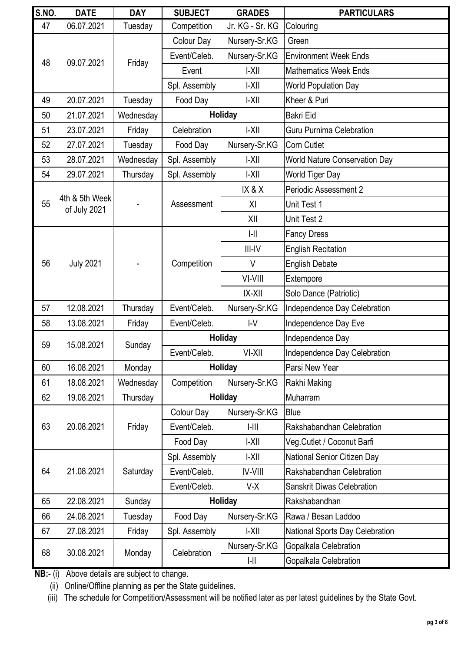| <b>S.NO.</b> | <b>DATE</b>                    | <b>DAY</b>                                        | <b>SUBJECT</b> | <b>GRADES</b>             | <b>PARTICULARS</b>                   |                       |
|--------------|--------------------------------|---------------------------------------------------|----------------|---------------------------|--------------------------------------|-----------------------|
| 47           | 06.07.2021                     | Tuesday                                           | Competition    | Jr. KG - Sr. KG           | Colouring                            |                       |
|              |                                |                                                   | Colour Day     | Nursery-Sr.KG             | Green                                |                       |
| 48           | 09.07.2021                     | Friday                                            | Event/Celeb.   | Nursery-Sr.KG             | <b>Environment Week Ends</b>         |                       |
|              |                                |                                                   | Event          | $ -X  $                   | <b>Mathematics Week Ends</b>         |                       |
|              |                                |                                                   | Spl. Assembly  | $ -X  $                   | <b>World Population Day</b>          |                       |
| 49           | 20.07.2021                     | Tuesday                                           | Food Day       | $ -X  $                   | Kheer & Puri                         |                       |
| 50           | 21.07.2021                     | Wednesday                                         |                | Holiday                   | <b>Bakri Eid</b>                     |                       |
| 51           | 23.07.2021                     | Friday                                            | Celebration    | $ -X  $                   | <b>Guru Purnima Celebration</b>      |                       |
| 52           | 27.07.2021                     | Tuesday                                           | Food Day       | Nursery-Sr.KG             | Corn Cutlet                          |                       |
| 53           | 28.07.2021                     | Wednesday                                         | Spl. Assembly  | $ -X  $                   | <b>World Nature Conservation Day</b> |                       |
| 54           | 29.07.2021                     | Thursday                                          | Spl. Assembly  | $ -X  $                   | World Tiger Day                      |                       |
|              |                                |                                                   |                | IX&X                      | Periodic Assessment 2                |                       |
| 55           | 4th & 5th Week<br>of July 2021 |                                                   | Assessment     | XI                        | Unit Test 1                          |                       |
|              |                                |                                                   |                | XII                       | Unit Test 2                          |                       |
|              |                                |                                                   |                | $\left  - \right $        | <b>Fancy Dress</b>                   |                       |
|              |                                |                                                   |                | $III-IV$                  | <b>English Recitation</b>            |                       |
| 56           | <b>July 2021</b>               |                                                   | Competition    | $\vee$                    | <b>English Debate</b>                |                       |
|              |                                |                                                   |                | VI-VIII                   | Extempore                            |                       |
|              |                                |                                                   |                | $IX-XII$                  | Solo Dance (Patriotic)               |                       |
| 57           | 12.08.2021                     | Thursday                                          | Event/Celeb.   | Nursery-Sr.KG             | Independence Day Celebration         |                       |
| 58           | 13.08.2021                     | Friday                                            | Event/Celeb.   | $I-V$                     | Independence Day Eve                 |                       |
| 59           | 15.08.2021                     | Sunday                                            |                | Holiday                   | Independence Day                     |                       |
|              |                                |                                                   | Event/Celeb.   | VI-XII                    | Independence Day Celebration         |                       |
| 60           | 16.08.2021                     | Monday                                            |                | Holiday                   | Parsi New Year                       |                       |
| 61           | 18.08.2021                     | Wednesday                                         | Competition    | Nursery-Sr.KG             | Rakhi Making                         |                       |
| 62           | 19.08.2021                     | Thursday                                          |                | Holiday                   | Muharram                             |                       |
|              | 20.08.2021                     | Colour Day<br>Friday<br>Event/Celeb.<br>$  -    $ |                | Nursery-Sr.KG             | Blue                                 |                       |
| 63           |                                |                                                   |                | Rakshabandhan Celebration |                                      |                       |
|              |                                |                                                   | Food Day       | $ -X  $                   | Veg.Cutlet / Coconut Barfi           |                       |
|              |                                |                                                   | Spl. Assembly  | $ -X  $                   | National Senior Citizen Day          |                       |
| 64           | 21.08.2021                     | Saturday                                          | Event/Celeb.   | <b>IV-VIII</b>            | Rakshabandhan Celebration            |                       |
|              |                                |                                                   | Event/Celeb.   | $V-X$                     | <b>Sanskrit Diwas Celebration</b>    |                       |
| 65           | 22.08.2021                     | Sunday                                            | <b>Holiday</b> |                           | Rakshabandhan                        |                       |
| 66           | 24.08.2021                     | Tuesday                                           | Food Day       | Nursery-Sr.KG             | Rawa / Besan Laddoo                  |                       |
| 67           | 27.08.2021                     | Friday                                            | Spl. Assembly  | $ -X  $                   | National Sports Day Celebration      |                       |
| 68           |                                |                                                   | Celebration    | Nursery-Sr.KG             | Gopalkala Celebration                |                       |
|              |                                | 30.08.2021                                        | Monday         |                           | $\left  - \right $                   | Gopalkala Celebration |

(ii) Online/Offline planning as per the State guidelines.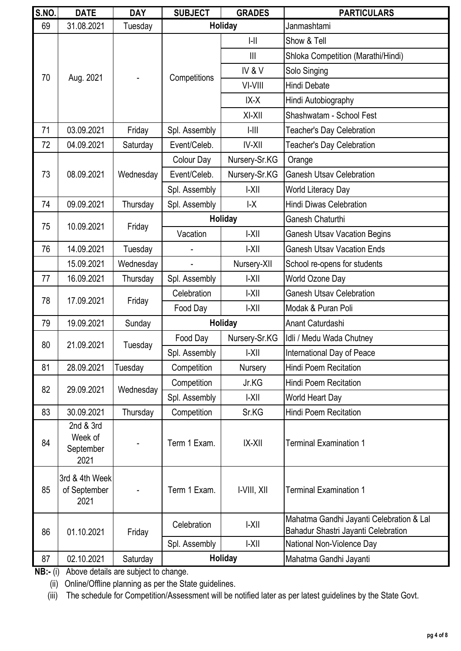| <b>S.NO.</b> | <b>DATE</b>                               | <b>DAY</b> | <b>SUBJECT</b> | <b>GRADES</b>          | <b>PARTICULARS</b>                                                              |
|--------------|-------------------------------------------|------------|----------------|------------------------|---------------------------------------------------------------------------------|
| 69           | 31.08.2021                                | Tuesday    |                | <b>Holiday</b>         | Janmashtami                                                                     |
|              |                                           |            |                | $\left  - \right $     | Show & Tell                                                                     |
|              |                                           |            |                | III                    | Shloka Competition (Marathi/Hindi)                                              |
|              |                                           |            |                | IV&V                   | Solo Singing                                                                    |
| 70           | Aug. 2021                                 |            | Competitions   | VI-VIII                | Hindi Debate                                                                    |
|              |                                           |            |                | IX-X                   | Hindi Autobiography                                                             |
|              |                                           |            |                | $XI-XII$               | Shashwatam - School Fest                                                        |
| 71           | 03.09.2021                                | Friday     | Spl. Assembly  | $  -      $            | <b>Teacher's Day Celebration</b>                                                |
| 72           | 04.09.2021                                | Saturday   | Event/Celeb.   | <b>IV-XII</b>          | <b>Teacher's Day Celebration</b>                                                |
|              |                                           |            | Colour Day     | Nursery-Sr.KG          | Orange                                                                          |
| 73           | 08.09.2021                                | Wednesday  | Event/Celeb.   | Nursery-Sr.KG          | <b>Ganesh Utsay Celebration</b>                                                 |
|              |                                           |            | Spl. Assembly  | $ -X  $                | World Literacy Day                                                              |
| 74           | 09.09.2021                                | Thursday   | Spl. Assembly  | $\mathsf{L}\mathsf{X}$ | <b>Hindi Diwas Celebration</b>                                                  |
| 75           | 10.09.2021                                |            |                | Holiday                | Ganesh Chaturthi                                                                |
|              |                                           | Friday     | Vacation       | $ -X  $                | <b>Ganesh Utsav Vacation Begins</b>                                             |
| 76           | 14.09.2021                                | Tuesday    |                | $ -X  $                | <b>Ganesh Utsav Vacation Ends</b>                                               |
|              | 15.09.2021                                | Wednesday  |                | Nursery-XII            | School re-opens for students                                                    |
| 77           | 16.09.2021                                | Thursday   | Spl. Assembly  | $ -X  $                | World Ozone Day                                                                 |
| 78           | 17.09.2021                                |            | Celebration    | $ -X  $                | <b>Ganesh Utsav Celebration</b>                                                 |
|              |                                           | Friday     | Food Day       | $ -X  $                | Modak & Puran Poli                                                              |
| 79           | 19.09.2021                                | Sunday     |                | Holiday                | Anant Caturdashi                                                                |
| 80           | 21.09.2021                                | Tuesday    | Food Day       | Nursery-Sr.KG          | Idli / Medu Wada Chutney                                                        |
|              |                                           |            | Spl. Assembly  | $ -X  $                | International Day of Peace                                                      |
| 81           | 28.09.2021                                | Tuesday    | Competition    | Nursery                | <b>Hindi Poem Recitation</b>                                                    |
| 82           | 29.09.2021                                | Wednesday  | Competition    | Jr.KG                  | <b>Hindi Poem Recitation</b>                                                    |
|              |                                           |            | Spl. Assembly  | $ -X  $                | World Heart Day                                                                 |
| 83           | 30.09.2021                                | Thursday   | Competition    | Sr.KG                  | <b>Hindi Poem Recitation</b>                                                    |
| 84           | 2nd & 3rd<br>Week of<br>September<br>2021 |            | Term 1 Exam.   | $ X-X  $               | <b>Terminal Examination 1</b>                                                   |
| 85           | 3rd & 4th Week<br>of September<br>2021    |            | Term 1 Exam.   | I-VIII, XII            | <b>Terminal Examination 1</b>                                                   |
| 86           | 01.10.2021                                | Friday     | Celebration    | $ -X  $                | Mahatma Gandhi Jayanti Celebration & Lal<br>Bahadur Shastri Jayanti Celebration |
|              |                                           |            | Spl. Assembly  | $ -X  $                | National Non-Violence Day                                                       |
| 87           | 02.10.2021                                | Saturday   |                | <b>Holiday</b>         | Mahatma Gandhi Jayanti                                                          |

(ii) Online/Offline planning as per the State guidelines.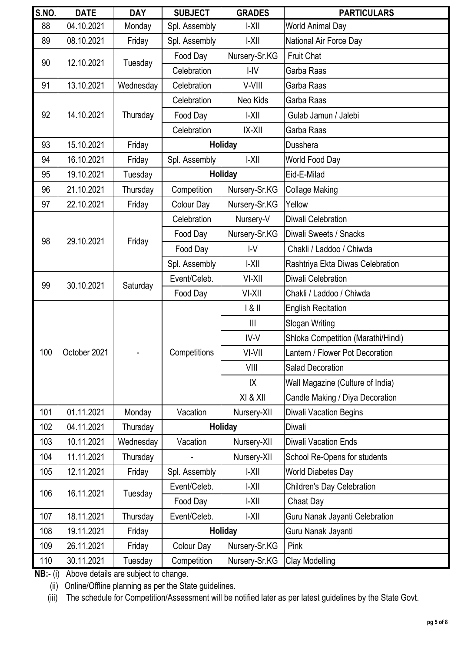| <b>S.NO.</b> | <b>DATE</b>  | <b>DAY</b> | <b>SUBJECT</b> | <b>GRADES</b>  | <b>PARTICULARS</b>                 |                                  |
|--------------|--------------|------------|----------------|----------------|------------------------------------|----------------------------------|
| 88           | 04.10.2021   | Monday     | Spl. Assembly  | $ -X  $        | World Animal Day                   |                                  |
| 89           | 08.10.2021   | Friday     | Spl. Assembly  | $ -X  $        | National Air Force Day             |                                  |
| 90           | 12.10.2021   |            | Food Day       | Nursery-Sr.KG  | <b>Fruit Chat</b>                  |                                  |
|              |              | Tuesday    | Celebration    | $I - IV$       | Garba Raas                         |                                  |
| 91           | 13.10.2021   | Wednesday  | Celebration    | V-VIII         | Garba Raas                         |                                  |
|              |              |            | Celebration    | Neo Kids       | Garba Raas                         |                                  |
| 92           | 14.10.2021   | Thursday   | Food Day       | $ -X  $        | Gulab Jamun / Jalebi               |                                  |
|              |              |            | Celebration    | <b>IX-XII</b>  | Garba Raas                         |                                  |
| 93           | 15.10.2021   | Friday     |                | <b>Holiday</b> | Dusshera                           |                                  |
| 94           | 16.10.2021   | Friday     | Spl. Assembly  | $ -X  $        | World Food Day                     |                                  |
| 95           | 19.10.2021   | Tuesday    |                | <b>Holiday</b> | Eid-E-Milad                        |                                  |
| 96           | 21.10.2021   | Thursday   | Competition    | Nursery-Sr.KG  | <b>Collage Making</b>              |                                  |
| 97           | 22.10.2021   | Friday     | Colour Day     | Nursery-Sr.KG  | Yellow                             |                                  |
|              |              |            | Celebration    | Nursery-V      | Diwali Celebration                 |                                  |
| 98           | 29.10.2021   |            | Food Day       | Nursery-Sr.KG  | Diwali Sweets / Snacks             |                                  |
|              |              | Friday     | Food Day       | IV             | Chakli / Laddoo / Chiwda           |                                  |
|              |              |            | Spl. Assembly  | $ -X  $        | Rashtriya Ekta Diwas Celebration   |                                  |
| 99           | 30.10.2021   | Saturday   | Event/Celeb.   | VI-XII         | Diwali Celebration                 |                                  |
|              |              |            | Food Day       | VI-XII         | Chakli / Laddoo / Chiwda           |                                  |
|              |              |            |                | 1 & 11         | <b>English Recitation</b>          |                                  |
|              |              |            |                | $\mathbf{III}$ | Slogan Writing                     |                                  |
|              |              |            |                | IV-V           | Shloka Competition (Marathi/Hindi) |                                  |
| 100          | October 2021 |            | Competitions   | VI-VII         | Lantern / Flower Pot Decoration    |                                  |
|              |              |            |                | VIII           | <b>Salad Decoration</b>            |                                  |
|              |              |            |                |                | IX                                 | Wall Magazine (Culture of India) |
|              |              |            |                | XI & XII       | Candle Making / Diya Decoration    |                                  |
| 101          | 01.11.2021   | Monday     | Vacation       | Nursery-XII    | Diwali Vacation Begins             |                                  |
| 102          | 04.11.2021   | Thursday   |                | Holiday        | Diwali                             |                                  |
| 103          | 10.11.2021   | Wednesday  | Vacation       | Nursery-XII    | <b>Diwali Vacation Ends</b>        |                                  |
| 104          | 11.11.2021   | Thursday   |                | Nursery-XII    | School Re-Opens for students       |                                  |
| 105          | 12.11.2021   | Friday     | Spl. Assembly  | $ -X  $        | <b>World Diabetes Day</b>          |                                  |
| 106          | 16.11.2021   |            | Event/Celeb.   | $ -X  $        | <b>Children's Day Celebration</b>  |                                  |
|              |              | Tuesday    | Food Day       | $ -X  $        | Chaat Day                          |                                  |
| 107          | 18.11.2021   | Thursday   | Event/Celeb.   | $ -X  $        | Guru Nanak Jayanti Celebration     |                                  |
| 108          | 19.11.2021   | Friday     |                | Holiday        | Guru Nanak Jayanti                 |                                  |
| 109          | 26.11.2021   | Friday     | Colour Day     | Nursery-Sr.KG  | Pink                               |                                  |
| 110          | 30.11.2021   | Tuesday    | Competition    | Nursery-Sr.KG  | Clay Modelling                     |                                  |

(ii) Online/Offline planning as per the State guidelines.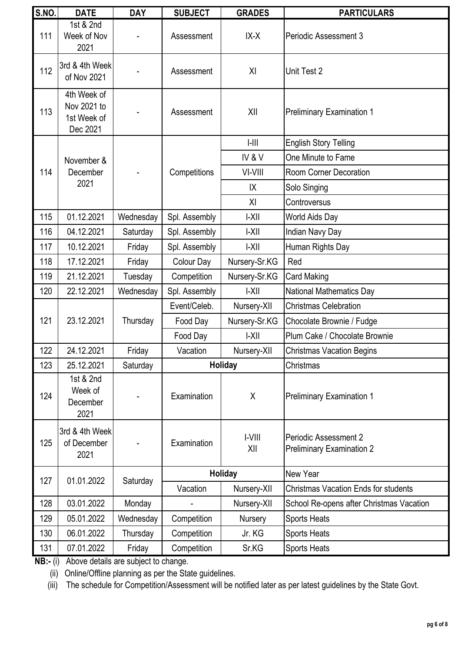| <b>S.NO.</b> | <b>DATE</b>                                           | <b>DAY</b> | <b>SUBJECT</b> | <b>GRADES</b> | <b>PARTICULARS</b>                                        |
|--------------|-------------------------------------------------------|------------|----------------|---------------|-----------------------------------------------------------|
| 111          | 1st & 2nd<br>Week of Nov<br>2021                      |            | Assessment     | IX-X          | <b>Periodic Assessment 3</b>                              |
| 112          | 3rd & 4th Week<br>of Nov 2021                         |            | Assessment     | XI            | Unit Test 2                                               |
| 113          | 4th Week of<br>Nov 2021 to<br>1st Week of<br>Dec 2021 |            | Assessment     | XII           | <b>Preliminary Examination 1</b>                          |
|              |                                                       |            |                | $  -      $   | <b>English Story Telling</b>                              |
|              | November &                                            |            |                | IV&V          | One Minute to Fame                                        |
| 114          | December                                              |            | Competitions   | VI-VIII       | Room Corner Decoration                                    |
|              | 2021                                                  |            |                | IX            | Solo Singing                                              |
|              |                                                       |            |                | XI            | Controversus                                              |
| 115          | 01.12.2021                                            | Wednesday  | Spl. Assembly  | $ -X  $       | World Aids Day                                            |
| 116          | 04.12.2021                                            | Saturday   | Spl. Assembly  | $ -X  $       | Indian Navy Day                                           |
| 117          | 10.12.2021                                            | Friday     | Spl. Assembly  | $ -X  $       | Human Rights Day                                          |
| 118          | 17.12.2021                                            | Friday     | Colour Day     | Nursery-Sr.KG | Red                                                       |
| 119          | 21.12.2021                                            | Tuesday    | Competition    | Nursery-Sr.KG | <b>Card Making</b>                                        |
| 120          | 22.12.2021                                            | Wednesday  | Spl. Assembly  | $ -X  $       | <b>National Mathematics Day</b>                           |
|              | 23.12.2021                                            |            | Event/Celeb.   | Nursery-XII   | <b>Christmas Celebration</b>                              |
| 121          |                                                       | Thursday   | Food Day       | Nursery-Sr.KG | Chocolate Brownie / Fudge                                 |
|              |                                                       |            | Food Day       | $ -X  $       | Plum Cake / Chocolate Brownie                             |
| 122          | 24.12.2021                                            | Friday     | Vacation       | Nursery-XII   | <b>Christmas Vacation Begins</b>                          |
| 123          | 25.12.2021                                            | Saturday   |                | Holiday       | Christmas                                                 |
| 124          | 1st & 2nd<br>Week of<br>December<br>2021              |            | Examination    | X             | <b>Preliminary Examination 1</b>                          |
| 125          | 3rd & 4th Week<br>of December<br>2021                 |            | Examination    | I-VIII<br>XII | Periodic Assessment 2<br><b>Preliminary Examination 2</b> |
| 127          | 01.01.2022                                            | Saturday   |                | Holiday       | New Year                                                  |
|              |                                                       |            | Vacation       | Nursery-XII   | <b>Christmas Vacation Ends for students</b>               |
| 128          | 03.01.2022                                            | Monday     |                | Nursery-XII   | School Re-opens after Christmas Vacation                  |
| 129          | 05.01.2022                                            | Wednesday  | Competition    | Nursery       | <b>Sports Heats</b>                                       |
| 130          | 06.01.2022                                            | Thursday   | Competition    | Jr. KG        | <b>Sports Heats</b>                                       |
| 131          | 07.01.2022                                            | Friday     | Competition    | Sr.KG         | <b>Sports Heats</b>                                       |

(ii) Online/Offline planning as per the State guidelines.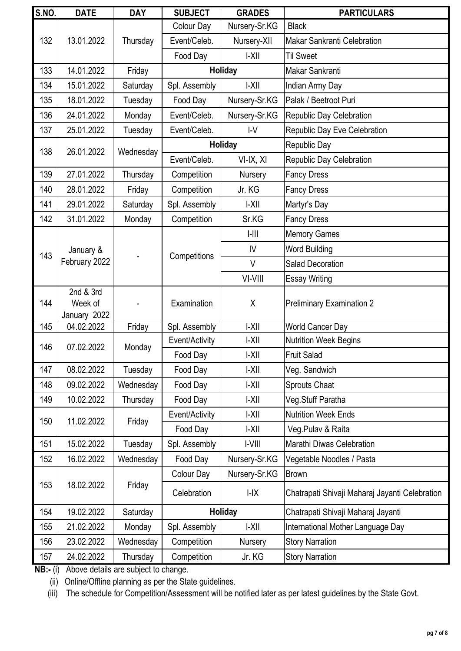| <b>S.NO.</b>      | <b>DATE</b>                          | <b>DAY</b> | <b>SUBJECT</b> | <b>GRADES</b> | <b>PARTICULARS</b>                             |
|-------------------|--------------------------------------|------------|----------------|---------------|------------------------------------------------|
|                   |                                      |            | Colour Day     | Nursery-Sr.KG | <b>Black</b>                                   |
| 132               | 13.01.2022                           | Thursday   | Event/Celeb.   | Nursery-XII   | <b>Makar Sankranti Celebration</b>             |
|                   |                                      |            | Food Day       | $ -X  $       | <b>Til Sweet</b>                               |
| 133               | 14.01.2022                           | Friday     |                | Holiday       | Makar Sankranti                                |
| 134               | 15.01.2022                           | Saturday   | Spl. Assembly  | $ -X  $       | Indian Army Day                                |
| 135               | 18.01.2022                           | Tuesday    | Food Day       | Nursery-Sr.KG | Palak / Beetroot Puri                          |
| 136               | 24.01.2022                           | Monday     | Event/Celeb.   | Nursery-Sr.KG | Republic Day Celebration                       |
| 137               | 25.01.2022                           | Tuesday    | Event/Celeb.   | $\mathsf{IV}$ | Republic Day Eve Celebration                   |
| 138               | 26.01.2022                           | Wednesday  |                | Holiday       | Republic Day                                   |
|                   |                                      |            | Event/Celeb.   | VI-IX, XI     | <b>Republic Day Celebration</b>                |
| 139               | 27.01.2022                           | Thursday   | Competition    | Nursery       | <b>Fancy Dress</b>                             |
| 140               | 28.01.2022                           | Friday     | Competition    | Jr. KG        | <b>Fancy Dress</b>                             |
| 141               | 29.01.2022                           | Saturday   | Spl. Assembly  | $ -X  $       | Martyr's Day                                   |
| 142               | 31.01.2022                           | Monday     | Competition    | Sr.KG         | <b>Fancy Dress</b>                             |
|                   |                                      |            |                | $  -      $   | <b>Memory Games</b>                            |
| 143               | January &                            |            |                | IV            | <b>Word Building</b>                           |
|                   | February 2022                        |            | Competitions   | $\vee$        | <b>Salad Decoration</b>                        |
|                   |                                      |            |                | VI-VIII       | <b>Essay Writing</b>                           |
| 144               | 2nd & 3rd<br>Week of<br>January 2022 |            | Examination    | X             | <b>Preliminary Examination 2</b>               |
| 145               | 04.02.2022                           | Friday     | Spl. Assembly  | $ -X  $       | <b>World Cancer Day</b>                        |
| 146<br>07.02.2022 |                                      | Monday     | Event/Activity | $ -X  $       | <b>Nutrition Week Begins</b>                   |
|                   |                                      |            | Food Day       | I-XII         | Fruit Salad                                    |
| 147               | 08.02.2022                           | Tuesday    | Food Day       | $ -X  $       | Veg. Sandwich                                  |
| 148               | 09.02.2022                           | Wednesday  | Food Day       | $ -X  $       | <b>Sprouts Chaat</b>                           |
| 149               | 10.02.2022                           | Thursday   | Food Day       | $ -X  $       | Veg.Stuff Paratha                              |
| 150               | 11.02.2022                           | Friday     | Event/Activity | $ -X  $       | <b>Nutrition Week Ends</b>                     |
|                   |                                      |            | Food Day       | $ -X  $       | Veg. Pulav & Raita                             |
| 151               | 15.02.2022                           | Tuesday    | Spl. Assembly  | I-VIII        | Marathi Diwas Celebration                      |
| 152               | 16.02.2022                           | Wednesday  | Food Day       | Nursery-Sr.KG | Vegetable Noodles / Pasta                      |
|                   |                                      |            | Colour Day     | Nursery-Sr.KG | <b>Brown</b>                                   |
| 153               | 18.02.2022                           | Friday     | Celebration    | I-IX          | Chatrapati Shivaji Maharaj Jayanti Celebration |
| 154               | 19.02.2022                           | Saturday   |                | Holiday       | Chatrapati Shivaji Maharaj Jayanti             |
| 155               | 21.02.2022                           | Monday     | Spl. Assembly  | $ -X  $       | International Mother Language Day              |
| 156               | 23.02.2022                           | Wednesday  | Competition    | Nursery       | <b>Story Narration</b>                         |
| 157               | 24.02.2022                           | Thursday   | Competition    | Jr. KG        | <b>Story Narration</b>                         |

(ii) Online/Offline planning as per the State guidelines.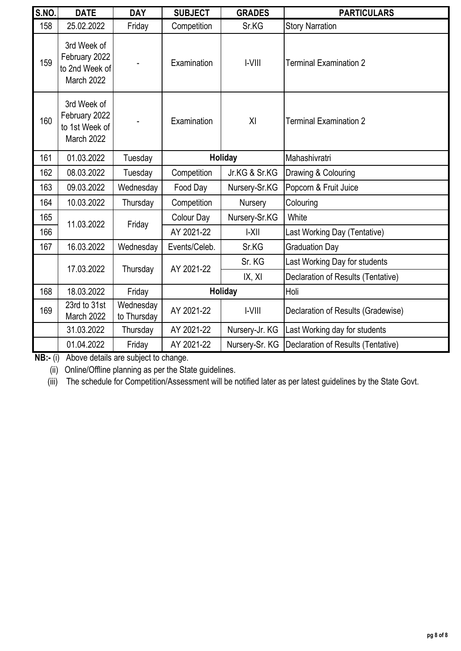| <b>S.NO.</b> | <b>DATE</b>                                                  | <b>DAY</b>               | <b>SUBJECT</b>       | <b>GRADES</b>  | <b>PARTICULARS</b>                 |       |
|--------------|--------------------------------------------------------------|--------------------------|----------------------|----------------|------------------------------------|-------|
| 158          | 25.02.2022                                                   | Friday                   | Competition          | Sr.KG          | <b>Story Narration</b>             |       |
| 159          | 3rd Week of<br>February 2022<br>to 2nd Week of<br>March 2022 |                          | Examination          | $ -V   $       | <b>Terminal Examination 2</b>      |       |
| 160          | 3rd Week of<br>February 2022<br>to 1st Week of<br>March 2022 |                          | Examination          | XI             | Terminal Examination 2             |       |
| 161          | 01.03.2022                                                   | Tuesday                  |                      | Holiday        | Mahashivratri                      |       |
| 162          | 08.03.2022                                                   | Tuesday                  | Competition          | Jr.KG & Sr.KG  | Drawing & Colouring                |       |
| 163          | 09.03.2022                                                   | Wednesday                | Food Day             | Nursery-Sr.KG  | Popcorn & Fruit Juice              |       |
| 164          | 10.03.2022                                                   | Thursday                 | Competition          | Nursery        | Colouring                          |       |
| 165          |                                                              |                          | 11.03.2022<br>Friday | Colour Day     | Nursery-Sr.KG                      | White |
| 166          |                                                              |                          | AY 2021-22           | $ -X  $        | Last Working Day (Tentative)       |       |
| 167          | 16.03.2022                                                   | Wednesday                | Events/Celeb.        | Sr.KG          | <b>Graduation Day</b>              |       |
|              | 17.03.2022                                                   |                          | AY 2021-22           | Sr. KG         | Last Working Day for students      |       |
|              |                                                              | Thursday                 |                      | IX, XI         | Declaration of Results (Tentative) |       |
| 168          | 18.03.2022                                                   | Friday                   | Holiday              |                | Holi                               |       |
| 169          | 23rd to 31st<br>March 2022                                   | Wednesday<br>to Thursday | AY 2021-22           | $ -V   $       | Declaration of Results (Gradewise) |       |
|              | 31.03.2022                                                   | Thursday                 | AY 2021-22           | Nursery-Jr. KG | Last Working day for students      |       |
|              | 01.04.2022                                                   | Friday                   | AY 2021-22           | Nursery-Sr. KG | Declaration of Results (Tentative) |       |

(ii) Online/Offline planning as per the State guidelines.